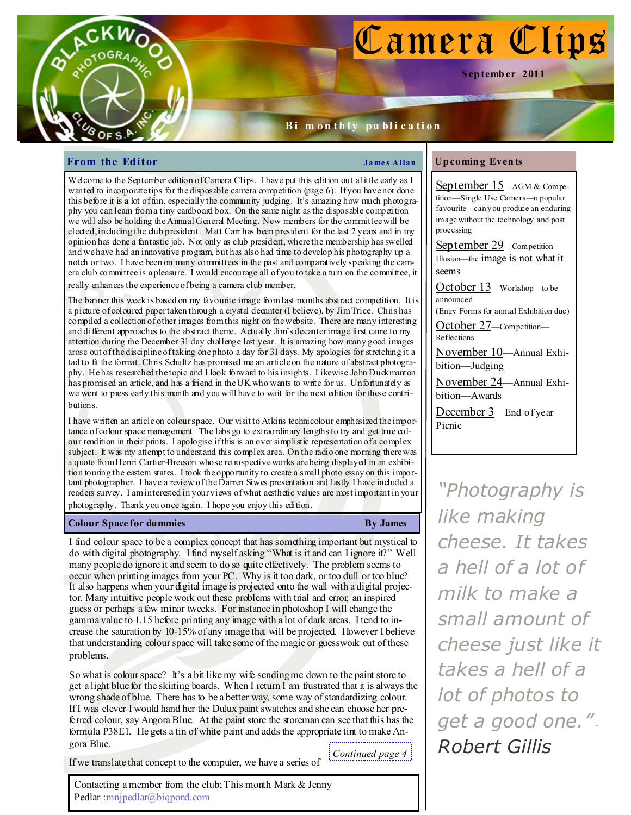# Camera Clips

S ep temb er 2011

# Bi m on thly publication

# **From the Editor**  $\qquad \qquad \qquad$  James Allan

OF S.P

Welcome to the September edition of Camera Clips. I have put this edition out a little early as I wanted to incorporate tips for the disposable camera competition (page 6). If you have not done this before it is a lot of fun, especially the community judging. It's amazing how much photography you can learn from a tiny cardboard box. On the same night as the disposable competition we will also be holding the Annual General Meeting. New members for the committee will be elected, including the club president. Matt Carr has been president for the last 2 years and in my opinion has done a fantastic job. Not only as club president, where the membership has swelled and we have had an innovative program, but has also had time to develop his photography up a notch or two. I have been on many committees in the past and comparatively speaking the camera club committee is a pleasure. I would encourage all of you to take a turn on the committee, it really enhances the experience of being a camera club member.

The banner this week is based on my favourite image from last months abstract competition. It is a picture of coloured paper taken through a crystal decanter (I believe), by Jim Trice. Chris has compiled a collection of other images from this night on the website. There are many interesting and different approaches to the abstract theme. Actually Jim's decanter image first came to my attention during the December 31 day challenge last year. It is amazing how many good images arose out of the discipline of taking one photo a day for 31 days. My apologies for stretching it a tad to fit the format. Chris Schultz has promised me an article on the nature of abstract photography. He has researched the topic and I look forward to his insights. Likewise John Duckmanton has promised an article, and has a friend in the UK who wants to write for us. Unfortunately as we went to press early this month and you will have to wait for the next edition for these contributions.

I have written an article on colour space. Our visit to Atkins technicolour emphasized the importance of colour space management. The labs go to extraordinary lengths to try and get true colour rendition in their prints. I apologise if this is an over simplistic representation of a complex subject. It was my attempt to understand this complex area. On the radio one morning there was a quote from Henri Cartier-Breeson whose retrospective works are being displayed in an exhibition touring the eastern states. I took the opportunity to create a small photo essay on this important photographer. I have a review of the Darren Siwes presentation and lastly I have included a readers survey. I am interested in your views of what aesthetic values are most important in your photography. Thank you once again. I hope you enjoy this edition.

# **Colour Space for dummies** By James By James By James By James By James By James By James By James By James By James By James By James By James By James By James By James By James By James By James By James By James By Jam

I find colour space to be a complex concept that has something important but mystical to do with digital photography. I find myself asking "What is it and can I ignore it?" Well many people do ignore it and seem to do so quite effectively. The problem seems to occur when printing images from your PC. Why is it too dark, or too dull or too blue? It also happens when your digital image is projected onto the wall with a digital projector. Many intuitive people work out these problems with trial and error, an inspired guess or perhaps a few minor tweeks. For instance in photoshop I will change the gamma value to 1.15 before printing any image with a lot of dark areas. I tend to increase the saturation by 10-15% of any image that will be projected. However I believe that understanding colour space will take some of the magic or guesswork out of these problems.

So what is colour space? It's a bit like my wife sending me down to the paint store to get a light blue for the skirting boards. When I return I am frustrated that it is always the wrong shade of blue. There has to be a better way, some way of standardizing colour. If I was clever I would hand her the Dulux paint swatches and she can choose her preferred colour, say Angora Blue. At the paint store the storeman can see that this has the formula P38E1. He gets a tin of white paint and adds the appropriate tint to make Angora Blue. Continued page 4

If we translate that concept to the computer, we have a series of

Contacting a member from the club; This month Mark & Jenny Pedlar :mnjpedlar@biqpond.com

# Up comin g Even ts

September 15—AGM & Competition—Single Use Camera—a popular favourite—can y ou produce an enduring image without the technology and post processing September 29—Competition— Illusion—the image is not what it seems October 13—Workshop—to be announced (Entry Forms for annual Exhibition due) October 27—Competition— Reflections November 10—Annual Exhibition—Judging November 24—Annual Exhibition—Awards December 3-End of year Picnic

"Photography is like making cheese. It takes a hell of a lot of milk to make a small amount of cheese just like it takes a hell of a lot of photos to get a good one.". Robert Gillis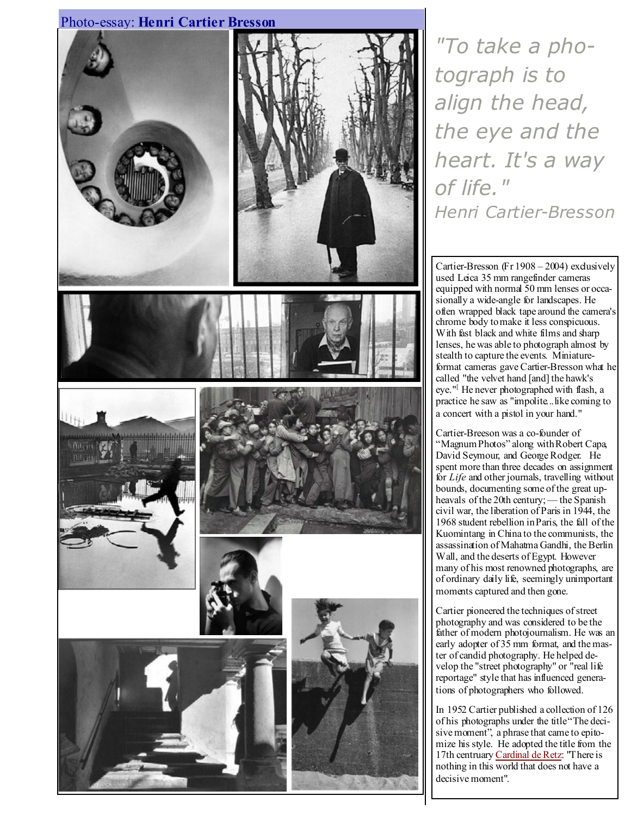# Photo-essay: Henri Cartier Bresson



"To take a photograph is to align the head, the eye and the heart. It's a way of life." Henri Cartier-Bresson

Cartier-Bresson (Fr 1908 – 2004) exclusively used Leica 35 mm rangefinder cameras equipped with normal 50 mm lenses or occasionally a wide-angle for landscapes. He often wrapped black tape around the camera's chrome body to make it less conspicuous. With fast black and white films and sharp lenses, he was able to photograph almost by stealth to capture the events. Miniatureformat cameras gave Cartier-Bresson what he called "the velvet hand [and] the hawk's eye."<sup>[</sup> He never photographed with flash, a practice he saw as "impolite...like coming to a concert with a pistol in your hand."

Cartier-Breeson was a co-founder of "Magnum Photos" along with Robert Capa, David Seymour, and George Rodger. He spent more than three decades on assignment for  $Life$  and other journals, travelling without bounds, documenting some of the great upheavals of the 20th century; — the Spanish civil war, the liberation of Paris in 1944, the 1968 student rebellion in Paris, the fall of the Kuomintang in China to the communists, the assassination of Mahatma Gandhi, the Berlin Wall, and the deserts of Egypt. However many of his most renowned photographs, are of ordinary daily life, seemingly unimportant moments captured and then gone.

Cartier pioneered the techniques of street photography and was considered to be the father of modern photojournalism. He was an early adopter of 35 mm format, and the master of candid photography. He helped develop the "street photography" or "real life reportage" style that has influenced generations of photographers who followed.

In 1952 Cartier published a collection of 126 of his photographs under the title "The decisive moment", a phrase that came to epitomize his style. He adopted the title from the 17th centruary Cardinal de Retz: "There is nothing in this world that does not have a decisive moment".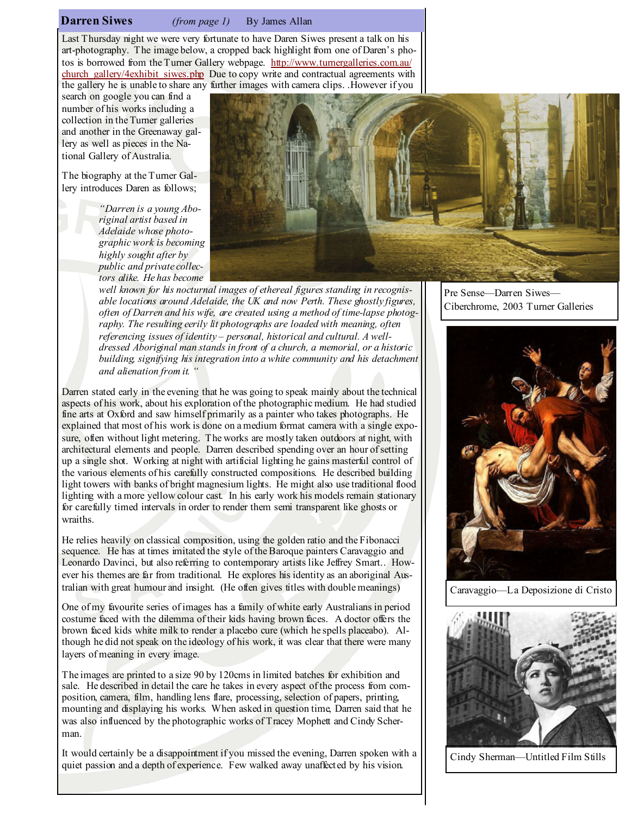# **Darren Siwes** (from page 1) By James Allan

Last Thursday night we were very fortunate to have Daren Siwes present a talk on his art-photography. The image below, a cropped back highlight from one of Daren's photos is borrowed from the Turner Gallery webpage. http://www.turnergalleries.com.au/ church\_gallery/4exhibit\_siwes.php Due to copy write and contractual agreements with the gallery he is unable to share any further images with camera clips. .However if you

search on google you can find a number of his works including a collection in the Turner galleries and another in the Greenaway gallery as well as pieces in the National Gallery of Australia.

The biography at the Turner Gallery introduces Daren as follows;

> "Darren is a young Aboriginal artist based in Adelaide whose photographic work is becoming highly sought after by public and private collectors alike. He has become



well known for his nocturnal images of ethereal figures standing in recognisable locations around Adelaide, the UK and now Perth. These ghostly figures, often of Darren and his wife, are created using a method of time-lapse photography. The resulting eerily lit photographs are loaded with meaning, often referencing issues of identity – personal, historical and cultural. A welldressed Aboriginal man stands in front of a church, a memorial, or a historic building, signifying his integration into a white community and his detachment and alienation from it. "

Darren stated early in the evening that he was going to speak mainly about the technical aspects of his work, about his exploration of the photographic medium. He had studied fine arts at Oxford and saw himself primarily as a painter who takes photographs. He explained that most of his work is done on a medium format camera with a single exposure, often without light metering. The works are mostly taken outdoors at night, with architectural elements and people. Darren described spending over an hour of setting up a single shot. Working at night with artificial lighting he gains masterful control of the various elements of his carefully constructed compositions. He described building light towers with banks of bright magnesium lights. He might also use traditional flood lighting with a more yellow colour cast. In his early work his models remain stationary for carefully timed intervals in order to render them semi transparent like ghosts or wraiths.

He relies heavily on classical composition, using the golden ratio and the Fibonacci sequence. He has at times imitated the style of the Baroque painters Caravaggio and Leonardo Davinci, but also referring to contemporary artists like Jeffrey Smart.. However his themes are far from traditional. He explores his identity as an aboriginal Australian with great humour and insight. (He often gives titles with double meanings)

One of my favourite series of images has a family of white early Australians in period costume faced with the dilemma of their kids having brown faces. A doctor offers the brown faced kids white milk to render a placebo cure (which he spells placeabo). Although he did not speak on the ideology of his work, it was clear that there were many layers of meaning in every image.

The images are printed to a size 90 by 120cms in limited batches for exhibition and sale. He described in detail the care he takes in every aspect of the process from composition, camera, film, handling lens flare, processing, selection of papers, printing, mounting and displaying his works. When asked in question time, Darren said that he was also influenced by the photographic works of Tracey Mophett and Cindy Scherman.

It would certainly be a disappointment if you missed the evening, Darren spoken with a quiet passion and a depth of experience. Few walked away unaffected by his vision.

Pre Sense—Darren Siwes— Ciberchrome, 2003 Turner Galleries



Caravaggio—La Deposizione di Cristo



Cindy Sherman—Untitled Film Stills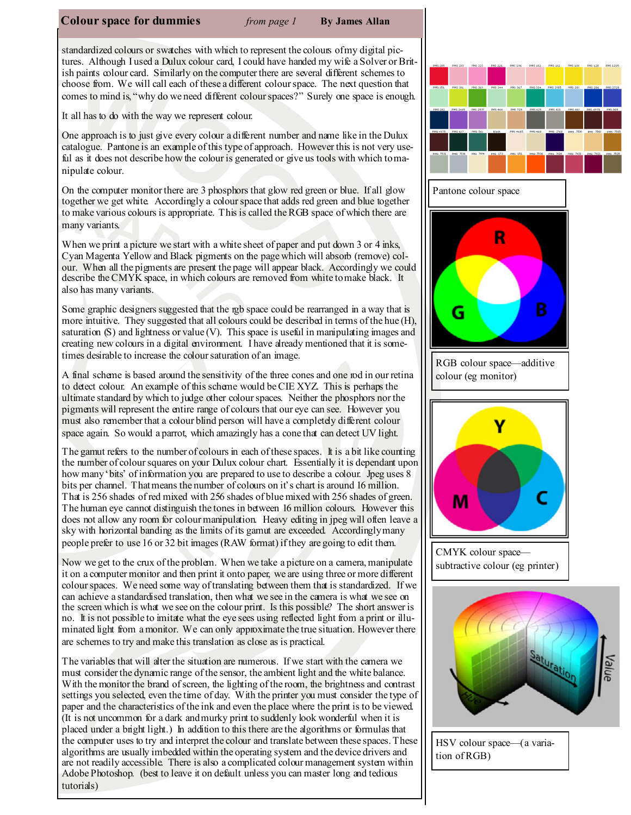### **Colour space for dummies** from page  $1$  By James Allan

standardized colours or swatches with which to represent the colours of my digital pictures. Although I used a Dulux colour card, I could have handed my wife a Solver or British paints colour card. Similarly on the computer there are several different schemes to choose from. We will call each of these a different colour space. The next question that comes to mind is, "why do we need different colour spaces?" Surely one space is enough.

It all has to do with the way we represent colour.

One approach is to just give every colour a different number and name like in the Dulux catalogue. Pantone is an example of this type of approach. However this is not very useful as it does not describe how the colour is generated or give us tools with which to manipulate colour.

On the computer monitor there are 3 phosphors that glow red green or blue. If all glow together we get white. Accordingly a colour space that adds red green and blue together to make various colours is appropriate. This is called the RGB space of which there are many variants.

When we print a picture we start with a white sheet of paper and put down 3 or 4 inks, Cyan Magenta Yellow and Black pigments on the page which will absorb (remove) colour. When all the pigments are present the page will appear black. Accordingly we could describe the CMYK space, in which colours are removed from white to make black. It also has many variants.

Some graphic designers suggested that the rgb space could be rearranged in a way that is more intuitive. They suggested that all colours could be described in terms of the hue (H), saturation  $(S)$  and lightness or value  $(V)$ . This space is useful in manipulating images and creating new colours in a digital environment. I have already mentioned that it is sometimes desirable to increase the colour saturation of an image.

A final scheme is based around the sensitivity of the three cones and one rod in our retina to detect colour. An example of this scheme would be CIE XYZ. This is perhaps the ultimate standard by which to judge other colour spaces. Neither the phosphors nor the pigments will represent the entire range of colours that our eye can see. However you must also remember that a colour blind person will have a completely different colour space again. So would a parrot, which amazingly has a cone that can detect UV light.

The gamut refers to the number of colours in each of these spaces. It is a bit like counting the number of colour squares on your Dulux colour chart. Essentially it is dependant upon how many 'bits' of information you are prepared to use to describe a colour. Jpeg uses 8 bits per channel. That means the number of colours on it's chart is around 16 million. That is 256 shades of red mixed with 256 shades of blue mixed with 256 shades of green. The human eye cannot distinguish the tones in between 16 million colours. However this does not allow any room for colour manipulation. Heavy editing in jpeg will often leave a sky with horizontal banding as the limits of its gamut are exceeded. Accordingly many people prefer to use 16 or 32 bit images (RAW format) if they are going to edit them.

Now we get to the crux of the problem. When we take a picture on a camera, manipulate it on a computer monitor and then print it onto paper, we are using three or more different colour spaces. We need some way of translating between them that is standardized. If we can achieve a standardised translation, then what we see in the camera is what we see on the screen which is what we see on the colour print. Is this possible? The short answer is no. It is not possible to imitate what the eye sees using reflected light from a print or illuminated light from a monitor. We can only approximate the true situation. However there are schemes to try and make this translation as close as is practical.

The variables that will alter the situation are numerous. If we start with the camera we must consider the dynamic range of the sensor, the ambient light and the white balance. With the monitor the brand of screen, the lighting of the room, the brightness and contrast settings you selected, even the time of day. With the printer you must consider the type of paper and the characteristics of the ink and even the place where the print is to be viewed. (It is not uncommon for a dark and murky print to suddenly look wonderful when it is placed under a bright light.) In addition to this there are the algorithms or formulas that the computer uses to try and interpret the colour and translate between these spaces. These algorithms are usually imbedded within the operating system and the device drivers and are not readily accessible. There is also a complicated colour management system within Adobe Photoshop. (best to leave it on default unless you can master long and tedious tutorials)





HSV colour space—(a variation of RGB)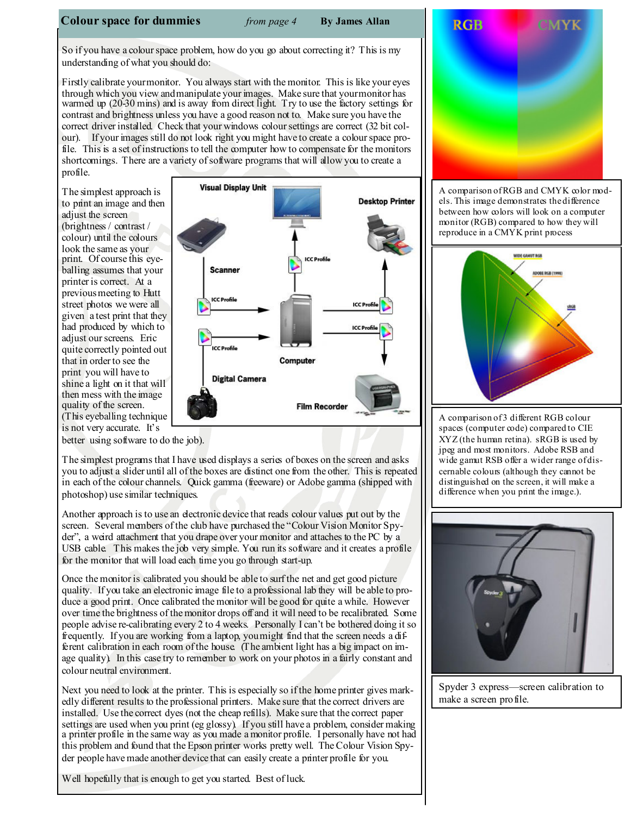# **Colour space for dummies** from page  $4$  By James Allan

So if you have a colour space problem, how do you go about correcting it? This is my understanding of what you should do:

Firstly calibrate your monitor. You always start with the monitor. This is like your eyes through which you view and manipulate your images. Make sure that your monitor has warmed up (20-30 mins) and is away from direct light. Try to use the factory settings for contrast and brightness unless you have a good reason not to. Make sure you have the correct driver installed. Check that your windows colour settings are correct (32 bit colour). If your images still do not look right you might have to create a colour space profile. This is a set of instructions to tell the computer how to compensate for the monitors shortcomings. There are a variety of software programs that will allow you to create a profile.

The simplest approach is to print an image and then adjust the screen (brightness / contrast / colour) until the colours look the same as your print. Of course this eyeballing assumes that your printer is correct. At a previous meeting to Hutt street photos we were all given a test print that they had produced by which to adjust our screens. Eric quite correctly pointed out that in order to see the print you will have to shine a light on it that will then mess with the image quality of the screen. (This eyeballing technique is not very accurate. It's



better using software to do the job).

The simplest programs that I have used displays a series of boxes on the screen and asks you to adjust a slider until all of the boxes are distinct one from the other. This is repeated in each of the colour channels. Quick gamma (freeware) or Adobe gamma (shipped with photoshop) use similar techniques.

Another approach is to use an electronic device that reads colour values put out by the screen. Several members of the club have purchased the "Colour Vision Monitor Spyder", a weird attachment that you drape over your monitor and attaches to the PC by a USB cable. This makes the job very simple. You run its software and it creates a profile for the monitor that will load each time you go through start-up.

Once the monitor is calibrated you should be able to surf the net and get good picture quality. If you take an electronic image file to a professional lab they will be able to produce a good print. Once calibrated the monitor will be good for quite a while. However over time the brightness of the monitor drops off and it will need to be recalibrated. Some people advise re-calibrating every 2 to 4 weeks. Personally I can't be bothered doing it so frequently. If you are working from a laptop, you might find that the screen needs a different calibration in each room of the house. (The ambient light has a big impact on image quality). In this case try to remember to work on your photos in a fairly constant and colour neutral environment.

Next you need to look at the printer. This is especially so if the home printer gives markedly different results to the professional printers. Make sure that the correct drivers are installed. Use the correct dyes (not the cheap refills). Make sure that the correct paper settings are used when you print (eg glossy). If you still have a problem, consider making a printer profile in the same way as you made a monitor profile. I personally have not had this problem and found that the Epson printer works pretty well. The Colour Vision Spyder people have made another device that can easily create a printer profile for you.

Well hopefully that is enough to get you started. Best of luck.



A comparison of RGB and CMYK color models. This image demonstrates the difference between how colors will look on a computer monitor (RGB) compared to how they will reproduce in a CMYK print process



A comparison of 3 different RGB colour spaces (computer code) compared to CIE XYZ (the human retina). sRGB is used by jpeg and most monitors. Adobe RSB and wide gamut RSB offer a wider range of discernable colours (although they cannot be distinguished on the screen, it will make a difference when you print the image.).



Spyder 3 express—screen calibration to make a screen profile.